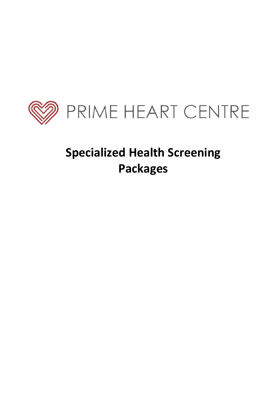

# **Specialized Health Screening Packages**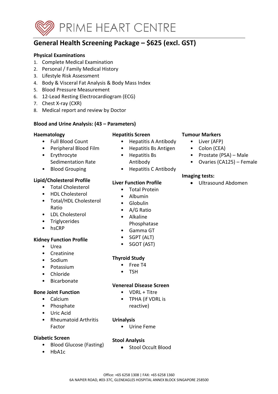

# **General Health Screening Package – \$625 (excl. GST)**

#### **Physical Examinations**

- 1. Complete Medical Examination
- 2. Personal / Family Medical History
- 3. Lifestyle Risk Assessment
- 4. Body & Visceral Fat Analysis & Body Mass Index
- 5. Blood Pressure Measurement
- 6. 12-Lead Resting Electrocardiogram (ECG)
- 7. Chest X-ray (CXR)
- 8. Medical report and review by Doctor

### **Blood and Urine Analysis: (43 – Parameters)**

### **Haematology**

- Full Blood Count
- Peripheral Blood Film
- Erythrocyte Sedimentation Rate
- Blood Grouping

### **Lipid/Cholesterol Profile**

- Total Cholesterol
- HDL Cholesterol
- Total/HDL Cholesterol Ratio
- LDL Cholesterol
- Triglycerides
- hsCRP

# **Kidney Function Profile**

- Urea
- **Creatinine**
- Sodium
- Potassium
- Chloride
- Bicarbonate

#### **Bone Joint Function**

- Calcium
- Phosphate
- Uric Acid
- Rheumatoid Arthritis Factor

#### **Diabetic Screen**

- Blood Glucose (Fasting)
- HbA1c

### **Hepatitis Screen**

- Hepatitis A Antibody
- Hepatitis Bs Antigen
- Hepatitis Bs
	- Antibody
- Hepatitis C Antibody

# **Liver Function Profile**

- Total Protein
	- Albumin
	- Globulin
	- A/G Ratio
	- Alkaline
	- Phosphatase
	- Gamma GT
	- SGPT (ALT)
	- SGOT (AST)

# **Thyroid Study**

- Free T4
- TSH

#### **Venereal Disease Screen**

- VDRL + Titre
- TPHA (if VDRL is reactive)

#### **Urinalysis**

• Urine Feme

# **Stool Analysis**

• Stool Occult Blood

### **Tumour Markers**

- Liver (AFP)
- Colon (CEA)
- Prostate (PSA) Male
- Ovaries (CA125) Female

#### **Imaging tests:**

• Ultrasound Abdomen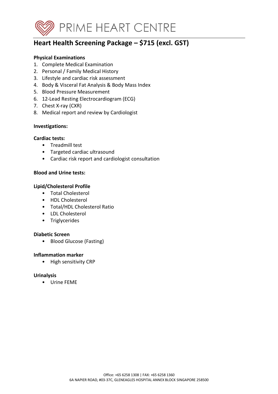

# **Heart Health Screening Package – \$715 (excl. GST)**

### **Physical Examinations**

- 1. Complete Medical Examination
- 2. Personal / Family Medical History
- 3. Lifestyle and cardiac risk assessment
- 4. Body & Visceral Fat Analysis & Body Mass Index
- 5. Blood Pressure Measurement
- 6. 12-Lead Resting Electrocardiogram (ECG)
- 7. Chest X-ray (CXR)
- 8. Medical report and review by Cardiologist

#### **Investigations:**

#### **Cardiac tests:**

- Treadmill test
- Targeted cardiac ultrasound
- Cardiac risk report and cardiologist consultation

### **Blood and Urine tests:**

### **Lipid/Cholesterol Profile**

- Total Cholesterol
- HDL Cholesterol
- Total/HDL Cholesterol Ratio
- LDL Cholesterol
- Triglycerides

#### **Diabetic Screen**

• Blood Glucose (Fasting)

#### **Inflammation marker**

• High sensitivity CRP

#### **Urinalysis**

• Urine FEME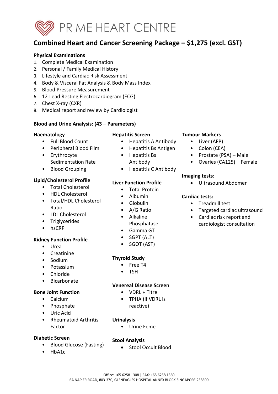

# **Combined Heart and Cancer Screening Package – \$1,275 (excl. GST)**

#### **Physical Examinations**

- 1. Complete Medical Examination
- 2. Personal / Family Medical History
- 3. Lifestyle and Cardiac Risk Assessment
- 4. Body & Visceral Fat Analysis & Body Mass Index
- 5. Blood Pressure Measurement
- 6. 12-Lead Resting Electrocardiogram (ECG)
- 7. Chest X-ray (CXR)
- 8. Medical report and review by Cardiologist

### **Blood and Urine Analysis: (43 – Parameters)**

#### **Haematology**

- Full Blood Count
- Peripheral Blood Film
- Erythrocyte Sedimentation Rate
- Blood Grouping

#### **Lipid/Cholesterol Profile**

- Total Cholesterol
- HDL Cholesterol
- Total/HDL Cholesterol Ratio
- LDL Cholesterol
- Triglycerides
- hsCRP

# **Kidney Function Profile**

- Urea
- **Creatinine**
- Sodium
- Potassium
- Chloride
- Bicarbonate

#### **Bone Joint Function**

- Calcium
- Phosphate
- Uric Acid
- Rheumatoid Arthritis Factor

#### **Diabetic Screen**

- Blood Glucose (Fasting)
- HbA1c

### **Hepatitis Screen**

- Hepatitis A Antibody
- Hepatitis Bs Antigen
- Hepatitis Bs
	- Antibody
- Hepatitis C Antibody

# **Liver Function Profile**

- Total Protein
	- Albumin
	- Globulin
	- A/G Ratio
	- Alkaline
	- Phosphatase
	- Gamma GT
	- SGPT (ALT)
	- SGOT (AST)

# **Thyroid Study**

- Free T4
- TSH

#### **Venereal Disease Screen**

- VDRL + Titre
- TPHA (if VDRL is reactive)

#### **Urinalysis**

• Urine Feme

# **Stool Analysis**

• Stool Occult Blood

### **Tumour Markers**

- Liver (AFP)
- Colon (CEA)
- Prostate (PSA) Male
- Ovaries (CA125) Female

#### **Imaging tests:**

• Ultrasound Abdomen

#### **Cardiac tests:**

- Treadmill test
- Targeted cardiac ultrasound
- Cardiac risk report and cardiologist consultation